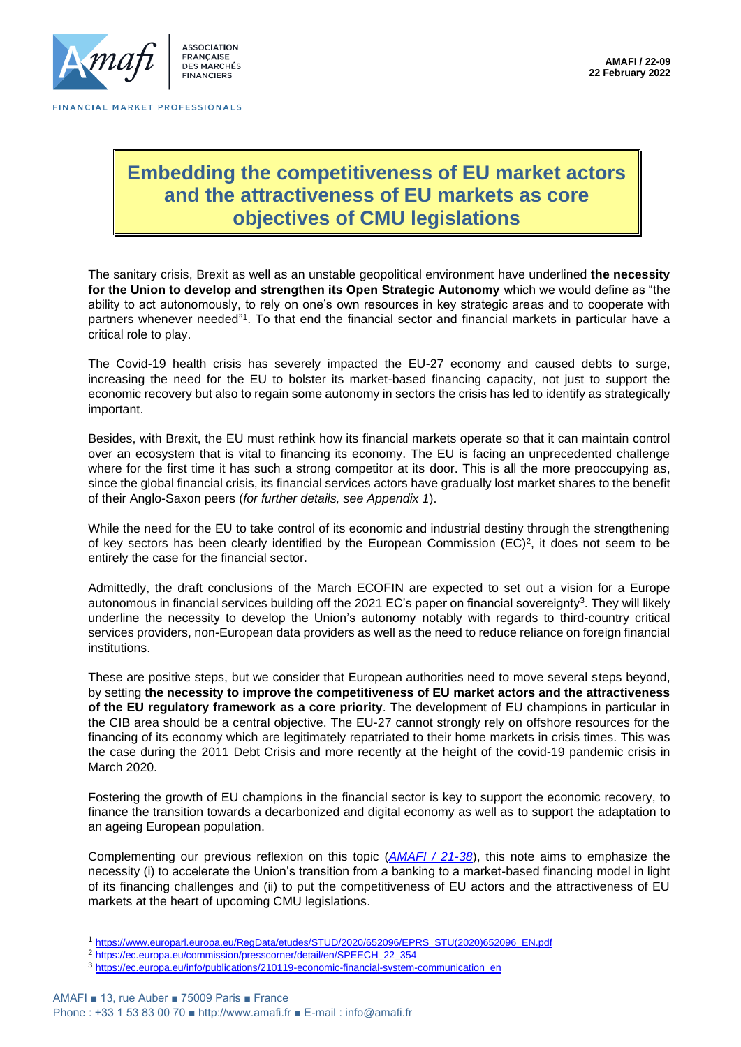

# **Embedding the competitiveness of EU market actors and the attractiveness of EU markets as core objectives of CMU legislations**

The sanitary crisis, Brexit as well as an unstable geopolitical environment have underlined **the necessity for the Union to develop and strengthen its Open Strategic Autonomy** which we would define as "the ability to act autonomously, to rely on one's own resources in key strategic areas and to cooperate with partners whenever needed"1. To that end the financial sector and financial markets in particular have a critical role to play.

The Covid-19 health crisis has severely impacted the EU-27 economy and caused debts to surge, increasing the need for the EU to bolster its market-based financing capacity, not just to support the economic recovery but also to regain some autonomy in sectors the crisis has led to identify as strategically important.

Besides, with Brexit, the EU must rethink how its financial markets operate so that it can maintain control over an ecosystem that is vital to financing its economy. The EU is facing an unprecedented challenge where for the first time it has such a strong competitor at its door. This is all the more preoccupying as, since the global financial crisis, its financial services actors have gradually lost market shares to the benefit of their Anglo-Saxon peers (*for further details, see Appendix 1*).

While the need for the EU to take control of its economic and industrial destiny through the strengthening of key sectors has been clearly identified by the European Commission (EC)<sup>2</sup>, it does not seem to be entirely the case for the financial sector.

Admittedly, the draft conclusions of the March ECOFIN are expected to set out a vision for a Europe autonomous in financial services building off the 2021 EC's paper on financial sovereignty<sup>3</sup>. They will likely underline the necessity to develop the Union's autonomy notably with regards to third-country critical services providers, non-European data providers as well as the need to reduce reliance on foreign financial institutions.

These are positive steps, but we consider that European authorities need to move several steps beyond, by setting **the necessity to improve the competitiveness of EU market actors and the attractiveness of the EU regulatory framework as a core priority**. The development of EU champions in particular in the CIB area should be a central objective. The EU-27 cannot strongly rely on offshore resources for the financing of its economy which are legitimately repatriated to their home markets in crisis times. This was the case during the 2011 Debt Crisis and more recently at the height of the covid-19 pandemic crisis in March 2020.

Fostering the growth of EU champions in the financial sector is key to support the economic recovery, to finance the transition towards a decarbonized and digital economy as well as to support the adaptation to an ageing European population.

Complementing our previous reflexion on this topic (*[AMAFI / 21-38](http://amafi.fr/download/pages/siMs3rhSlBh0jMdCYj6987503PLz2qYViib6wej5.pdf)*), this note aims to emphasize the necessity (i) to accelerate the Union's transition from a banking to a market-based financing model in light of its financing challenges and (ii) to put the competitiveness of EU actors and the attractiveness of EU markets at the heart of upcoming CMU legislations.

<sup>1</sup> [https://www.europarl.europa.eu/RegData/etudes/STUD/2020/652096/EPRS\\_STU\(2020\)652096\\_EN.pdf](https://www.europarl.europa.eu/RegData/etudes/STUD/2020/652096/EPRS_STU(2020)652096_EN.pdf)

<sup>2</sup> [https://ec.europa.eu/commission/presscorner/detail/en/SPEECH\\_22\\_354](https://ec.europa.eu/commission/presscorner/detail/en/SPEECH_22_354)

<sup>3</sup> [https://ec.europa.eu/info/publications/210119-economic-financial-system-communication\\_en](https://ec.europa.eu/info/publications/210119-economic-financial-system-communication_en)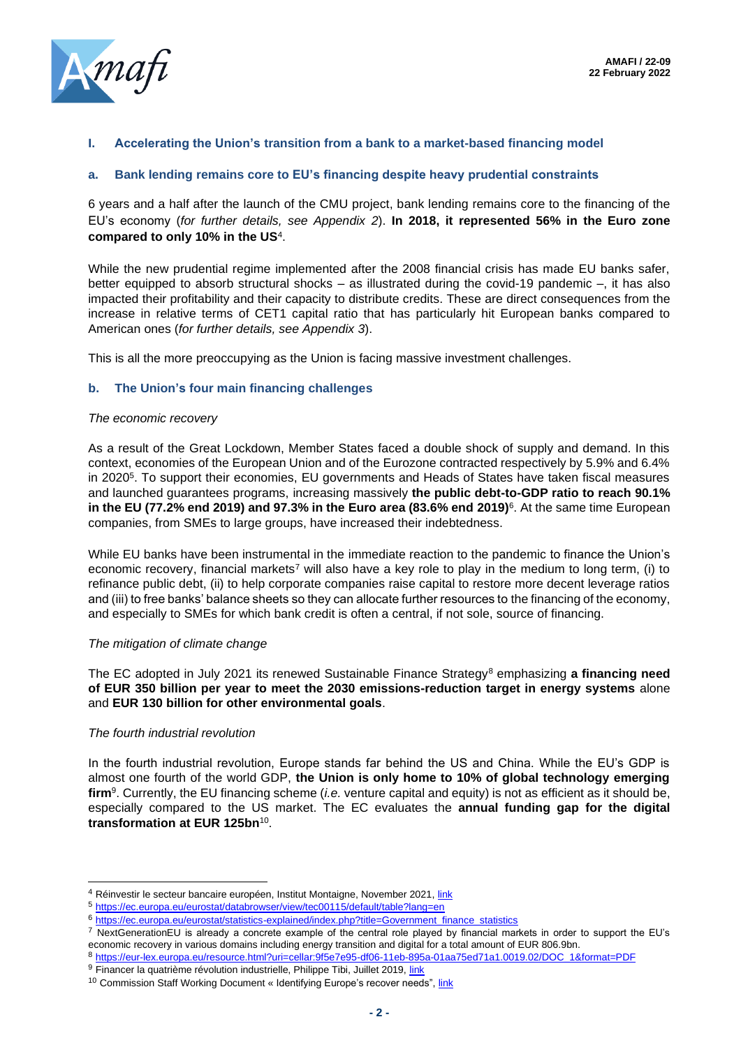

### **I. Accelerating the Union's transition from a bank to a market-based financing model**

#### **a. Bank lending remains core to EU's financing despite heavy prudential constraints**

6 years and a half after the launch of the CMU project, bank lending remains core to the financing of the EU's economy (*for further details, see Appendix 2*). **In 2018, it represented 56% in the Euro zone compared to only 10% in the US**<sup>4</sup> .

While the new prudential regime implemented after the 2008 financial crisis has made EU banks safer, better equipped to absorb structural shocks – as illustrated during the covid-19 pandemic –, it has also impacted their profitability and their capacity to distribute credits. These are direct consequences from the increase in relative terms of CET1 capital ratio that has particularly hit European banks compared to American ones (*for further details, see Appendix 3*).

This is all the more preoccupying as the Union is facing massive investment challenges.

#### **b. The Union's four main financing challenges**

#### *The economic recovery*

As a result of the Great Lockdown, Member States faced a double shock of supply and demand. In this context, economies of the European Union and of the Eurozone contracted respectively by 5.9% and 6.4% in 2020<sup>5</sup>. To support their economies, EU governments and Heads of States have taken fiscal measures and launched guarantees programs, increasing massively **the public debt-to-GDP ratio to reach 90.1% in the EU (77.2% end 2019) and 97.3% in the Euro area (83.6% end 2019)**<sup>6</sup> . At the same time European companies, from SMEs to large groups, have increased their indebtedness.

While EU banks have been instrumental in the immediate reaction to the pandemic to finance the Union's economic recovery, financial markets<sup>7</sup> will also have a key role to play in the medium to long term, (i) to refinance public debt, (ii) to help corporate companies raise capital to restore more decent leverage ratios and (iii) to free banks' balance sheets so they can allocate further resources to the financing of the economy, and especially to SMEs for which bank credit is often a central, if not sole, source of financing.

#### *The mitigation of climate change*

The EC adopted in July 2021 its renewed Sustainable Finance Strategy<sup>8</sup> emphasizing a financing need **of EUR 350 billion per year to meet the 2030 emissions-reduction target in energy systems** alone and **EUR 130 billion for other environmental goals**.

#### *The fourth industrial revolution*

In the fourth industrial revolution, Europe stands far behind the US and China. While the EU's GDP is almost one fourth of the world GDP, **the Union is only home to 10% of global technology emerging firm**<sup>9</sup> . Currently, the EU financing scheme (*i.e.* venture capital and equity) is not as efficient as it should be, especially compared to the US market. The EC evaluates the **annual funding gap for the digital transformation at EUR 125bn**<sup>10</sup> .

<sup>&</sup>lt;sup>4</sup> Réinvestir le secteur bancaire européen, Institut Montaigne, November 2021[, link](https://www.institutmontaigne.org/publications/reinvestir-le-secteur-bancaire-europeen)

<sup>5</sup> <https://ec.europa.eu/eurostat/databrowser/view/tec00115/default/table?lang=en>

<sup>6</sup> [https://ec.europa.eu/eurostat/statistics-explained/index.php?title=Government\\_finance\\_statistics](https://ec.europa.eu/eurostat/statistics-explained/index.php?title=Government_finance_statistics)

<sup>&</sup>lt;sup>7</sup> NextGenerationEU is already a concrete example of the central role played by financial markets in order to support the EU's economic recovery in various domains including energy transition and digital for a total amount of EUR 806.9bn.

<sup>8</sup> [https://eur-lex.europa.eu/resource.html?uri=cellar:9f5e7e95-df06-11eb-895a-01aa75ed71a1.0019.02/DOC\\_1&format=PDF](https://eur-lex.europa.eu/resource.html?uri=cellar:9f5e7e95-df06-11eb-895a-01aa75ed71a1.0019.02/DOC_1&format=PDF)

<sup>9</sup> Financer la quatrième révolution industrielle, Philippe Tibi, Juillet 2019, [link](https://minefi.hosting.augure.com/Augure_Minefi/r/ContenuEnLigne/Download?id=40C3DA75-8DAB-4300-86D1-C7ED87BD9045&filename=1351%20-%20Rapport%20Tibi%20-%20FR.pdf)

<sup>&</sup>lt;sup>10</sup> Commission Staff Working Document « Identifying Europe's recover needs", [link](https://eur-lex.europa.eu/legal-content/EN/TXT/PDF/?uri=CELEX:52020SC0098(01)&qid=1591607109918&from=IT)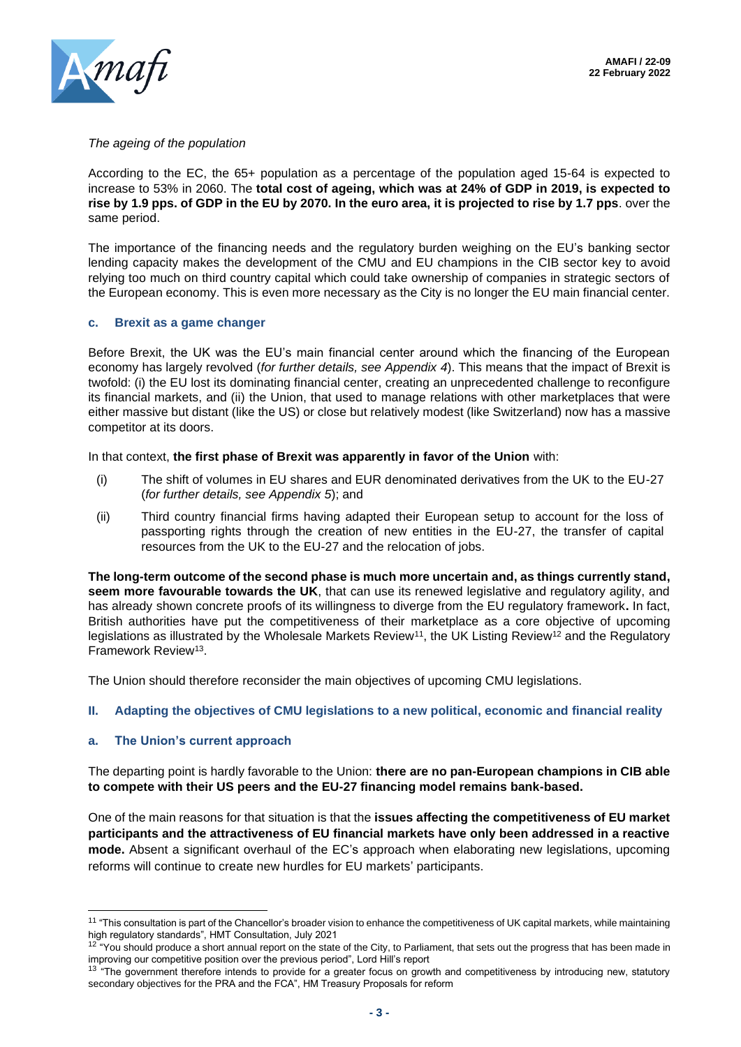

#### *The ageing of the population*

According to the EC, the 65+ population as a percentage of the population aged 15-64 is expected to increase to 53% in 2060. The **total cost of ageing, which was at 24% of GDP in 2019, is expected to rise by 1.9 pps. of GDP in the EU by 2070. In the euro area, it is projected to rise by 1.7 pps**. over the same period.

The importance of the financing needs and the regulatory burden weighing on the EU's banking sector lending capacity makes the development of the CMU and EU champions in the CIB sector key to avoid relying too much on third country capital which could take ownership of companies in strategic sectors of the European economy. This is even more necessary as the City is no longer the EU main financial center.

#### **c. Brexit as a game changer**

Before Brexit, the UK was the EU's main financial center around which the financing of the European economy has largely revolved (*for further details, see Appendix 4*). This means that the impact of Brexit is twofold: (i) the EU lost its dominating financial center, creating an unprecedented challenge to reconfigure its financial markets, and (ii) the Union, that used to manage relations with other marketplaces that were either massive but distant (like the US) or close but relatively modest (like Switzerland) now has a massive competitor at its doors.

In that context, **the first phase of Brexit was apparently in favor of the Union** with:

- (i) The shift of volumes in EU shares and EUR denominated derivatives from the UK to the EU-27 (*for further details, see Appendix 5*); and
- (ii) Third country financial firms having adapted their European setup to account for the loss of passporting rights through the creation of new entities in the EU-27, the transfer of capital resources from the UK to the EU-27 and the relocation of jobs.

**The long-term outcome of the second phase is much more uncertain and, as things currently stand, seem more favourable towards the UK**, that can use its renewed legislative and regulatory agility, and has already shown concrete proofs of its willingness to diverge from the EU regulatory framework**.** In fact, British authorities have put the competitiveness of their marketplace as a core objective of upcoming legislations as illustrated by the Wholesale Markets Review<sup>11</sup>, the UK Listing Review<sup>12</sup> and the Regulatory Framework Review<sup>13</sup>.

The Union should therefore reconsider the main objectives of upcoming CMU legislations.

## **II. Adapting the objectives of CMU legislations to a new political, economic and financial reality**

#### **a. The Union's current approach**

The departing point is hardly favorable to the Union: **there are no pan-European champions in CIB able to compete with their US peers and the EU-27 financing model remains bank-based.**

One of the main reasons for that situation is that the **issues affecting the competitiveness of EU market participants and the attractiveness of EU financial markets have only been addressed in a reactive mode.** Absent a significant overhaul of the EC's approach when elaborating new legislations, upcoming reforms will continue to create new hurdles for EU markets' participants.

<sup>&</sup>lt;sup>11</sup> "This consultation is part of the Chancellor's broader vision to enhance the competitiveness of UK capital markets, while maintaining high regulatory standards", HMT Consultation, July 2021

 $12$  "You should produce a short annual report on the state of the City, to Parliament, that sets out the progress that has been made in improving our competitive position over the previous period", Lord Hill's report

<sup>&</sup>lt;sup>13</sup> "The government therefore intends to provide for a greater focus on growth and competitiveness by introducing new, statutory secondary objectives for the PRA and the FCA", HM Treasury Proposals for reform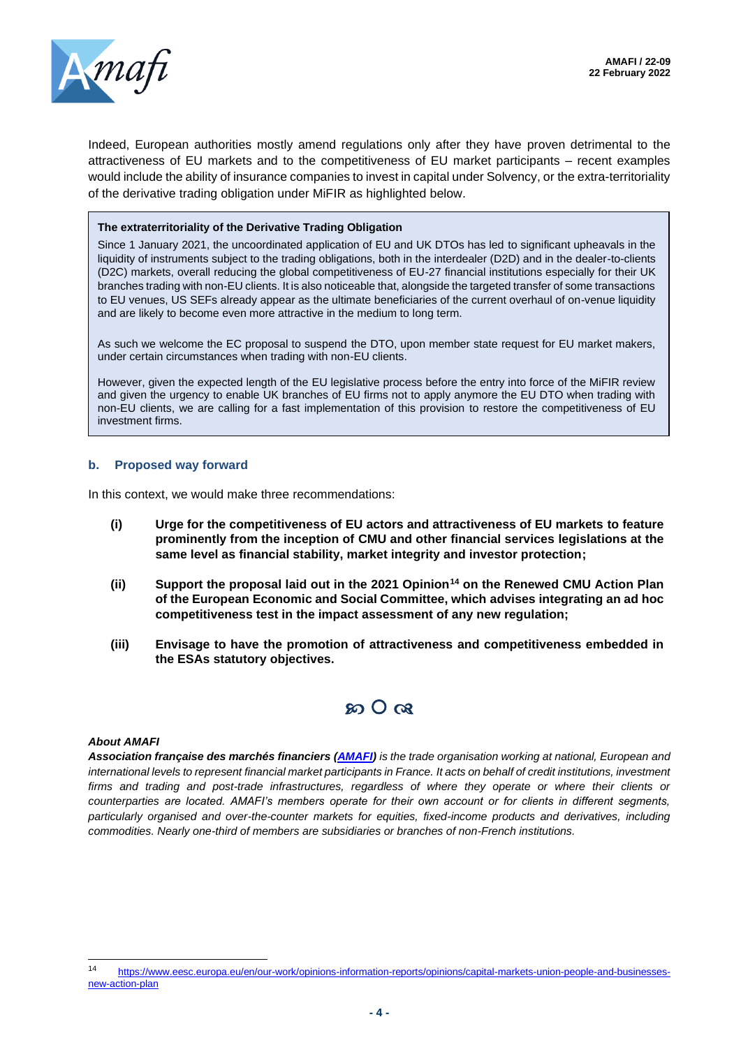

Indeed, European authorities mostly amend regulations only after they have proven detrimental to the attractiveness of EU markets and to the competitiveness of EU market participants – recent examples would include the ability of insurance companies to invest in capital under Solvency, or the extra-territoriality of the derivative trading obligation under MiFIR as highlighted below.

#### **The extraterritoriality of the Derivative Trading Obligation**

Since 1 January 2021, the uncoordinated application of EU and UK DTOs has led to significant upheavals in the liquidity of instruments subject to the trading obligations, both in the interdealer (D2D) and in the dealer-to-clients (D2C) markets, overall reducing the global competitiveness of EU-27 financial institutions especially for their UK branches trading with non-EU clients. It is also noticeable that, alongside the targeted transfer of some transactions to EU venues, US SEFs already appear as the ultimate beneficiaries of the current overhaul of on-venue liquidity and are likely to become even more attractive in the medium to long term.

As such we welcome the EC proposal to suspend the DTO, upon member state request for EU market makers, under certain circumstances when trading with non-EU clients.

However, given the expected length of the EU legislative process before the entry into force of the MiFIR review and given the urgency to enable UK branches of EU firms not to apply anymore the EU DTO when trading with non-EU clients, we are calling for a fast implementation of this provision to restore the competitiveness of EU investment firms.

#### **b. Proposed way forward**

In this context, we would make three recommendations:

- **(i) Urge for the competitiveness of EU actors and attractiveness of EU markets to feature prominently from the inception of CMU and other financial services legislations at the same level as financial stability, market integrity and investor protection;**
- **(ii) Support the proposal laid out in the 2021 Opinion<sup>14</sup> on the Renewed CMU Action Plan of the European Economic and Social Committee, which advises integrating an ad hoc competitiveness test in the impact assessment of any new regulation;**
- **(iii) Envisage to have the promotion of attractiveness and competitiveness embedded in the ESAs statutory objectives.**



#### *About AMAFI*

*Association française des marchés financiers [\(AMAFI\)](http://amafi.fr/en) is the trade organisation working at national, European and international levels to represent financial market participants in France. It acts on behalf of credit institutions, investment firms and trading and post-trade infrastructures, regardless of where they operate or where their clients or counterparties are located. AMAFI's members operate for their own account or for clients in different segments, particularly organised and over-the-counter markets for equities, fixed-income products and derivatives, including commodities. Nearly one-third of members are subsidiaries or branches of non-French institutions.*

<sup>14</sup> [https://www.eesc.europa.eu/en/our-work/opinions-information-reports/opinions/capital-markets-union-people-and-businesses](https://www.eesc.europa.eu/en/our-work/opinions-information-reports/opinions/capital-markets-union-people-and-businesses-new-action-plan)[new-action-plan](https://www.eesc.europa.eu/en/our-work/opinions-information-reports/opinions/capital-markets-union-people-and-businesses-new-action-plan)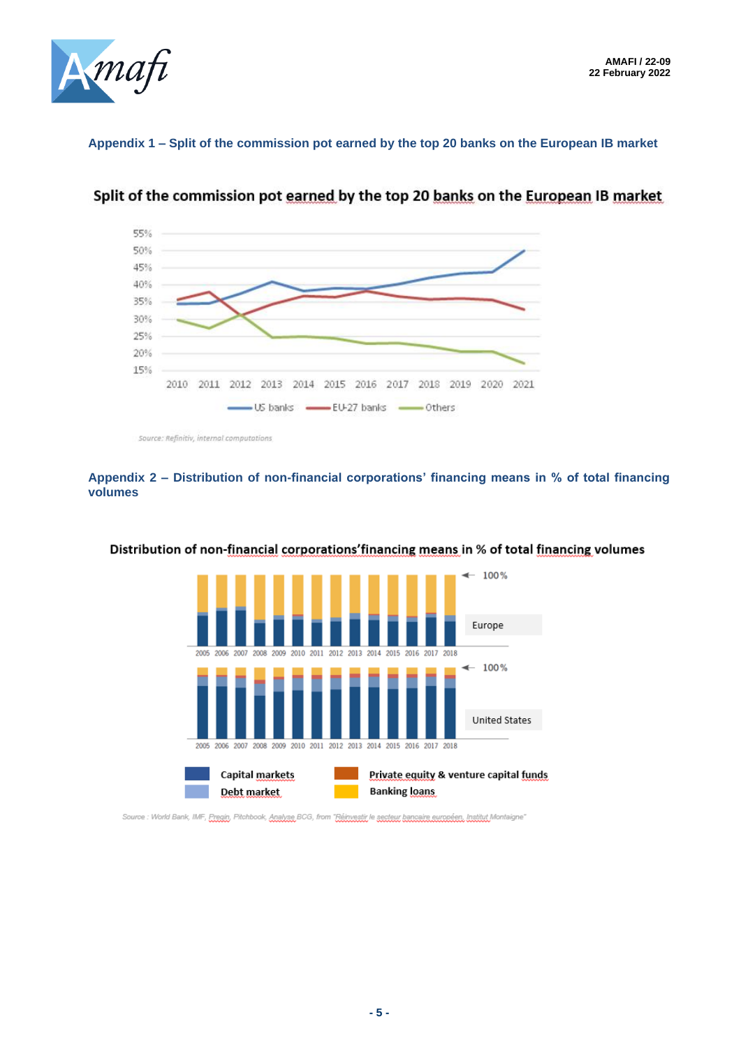

# **Appendix 1 – Split of the commission pot earned by the top 20 banks on the European IB market**



Split of the commission pot earned by the top 20 banks on the European IB market

Source: Refinitiv, internal computations

# **Appendix 2 – Distribution of non-financial corporations' financing means in % of total financing volumes**

![](_page_4_Figure_7.jpeg)

## Distribution of non-financial corporations' financing means in % of total financing volumes

Source : World Bank, IMF, Pregin, Pitchbook, Analyse BCG, from "Réinvestir le secteur bancaire européen, Institut Montaigne"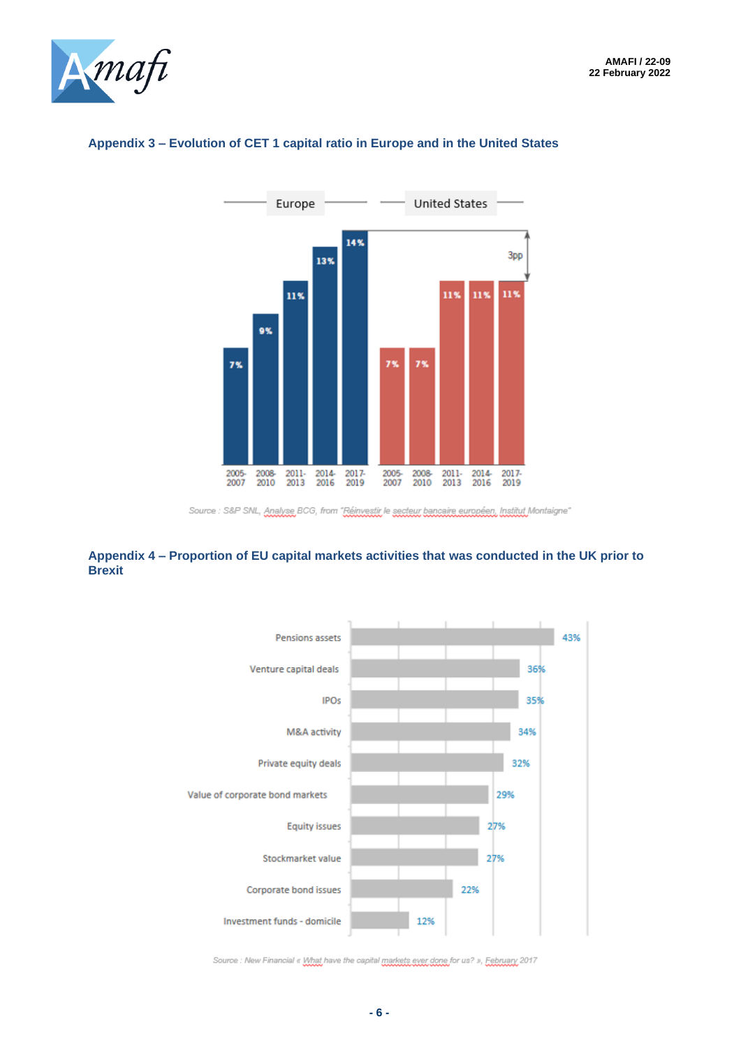![](_page_5_Picture_1.jpeg)

![](_page_5_Figure_2.jpeg)

# **Appendix 3 – Evolution of CET 1 capital ratio in Europe and in the United States**

## **Appendix 4 – Proportion of EU capital markets activities that was conducted in the UK prior to Brexit**

![](_page_5_Figure_6.jpeg)

Source : New Financial « What have the capital markets exer done for us? », Eebruary 2017

Source : S&P SNL, Analyse BCG, from "Réinvestir le secteur bancaire européen, Institut Montaigne"